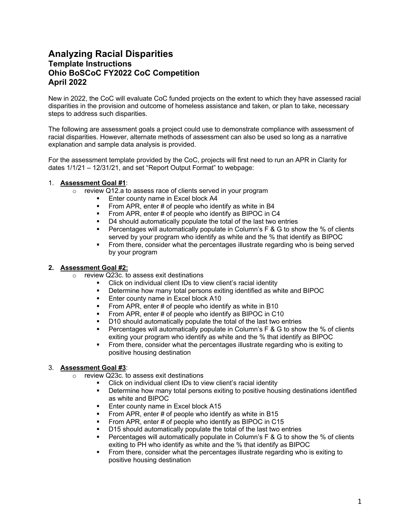# **Analyzing Racial Disparities Template Instructions Ohio BoSCoC FY2022 CoC Competition April 2022**

New in 2022, the CoC will evaluate CoC funded projects on the extent to which they have assessed racial disparities in the provision and outcome of homeless assistance and taken, or plan to take, necessary steps to address such disparities.

The following are assessment goals a project could use to demonstrate compliance with assessment of racial disparities. However, alternate methods of assessment can also be used so long as a narrative explanation and sample data analysis is provided.

For the assessment template provided by the CoC, projects will first need to run an APR in Clarity for dates 1/1/21 – 12/31/21, and set "Report Output Format" to webpage:

### 1. **Assessment Goal #1**:

- o review Q12.a to assess race of clients served in your program
	- § Enter county name in Excel block A4
	- § From APR, enter # of people who identify as white in B4
	- From APR, enter # of people who identify as BIPOC in C4
	- D4 should automatically populate the total of the last two entries
	- **Percentages will automatically populate in Column's F & G to show the % of clients** served by your program who identify as white and the % that identify as BIPOC
	- § From there, consider what the percentages illustrate regarding who is being served by your program

#### **2. Assessment Goal #2:**

- o review Q23c. to assess exit destinations
	- Click on individual client IDs to view client's racial identity
	- § Determine how many total persons exiting identified as white and BIPOC
	- **Enter county name in Excel block A10**
	- From APR, enter # of people who identify as white in B10
	- From APR, enter # of people who identify as BIPOC in C10
	- D10 should automatically populate the total of the last two entries
	- **•** Percentages will automatically populate in Column's  $F \& G$  to show the % of clients exiting your program who identify as white and the % that identify as BIPOC
	- § From there, consider what the percentages illustrate regarding who is exiting to positive housing destination

### 3. **Assessment Goal #3**:

- o review Q23c. to assess exit destinations
	- Click on individual client IDs to view client's racial identity
		- Determine how many total persons exiting to positive housing destinations identified as white and BIPOC
		- Enter county name in Excel block A15
		- § From APR, enter # of people who identify as white in B15
		- § From APR, enter # of people who identify as BIPOC in C15
		- § D15 should automatically populate the total of the last two entries
		- § Percentages will automatically populate in Column's F & G to show the % of clients exiting to PH who identify as white and the % that identify as BIPOC
		- § From there, consider what the percentages illustrate regarding who is exiting to positive housing destination